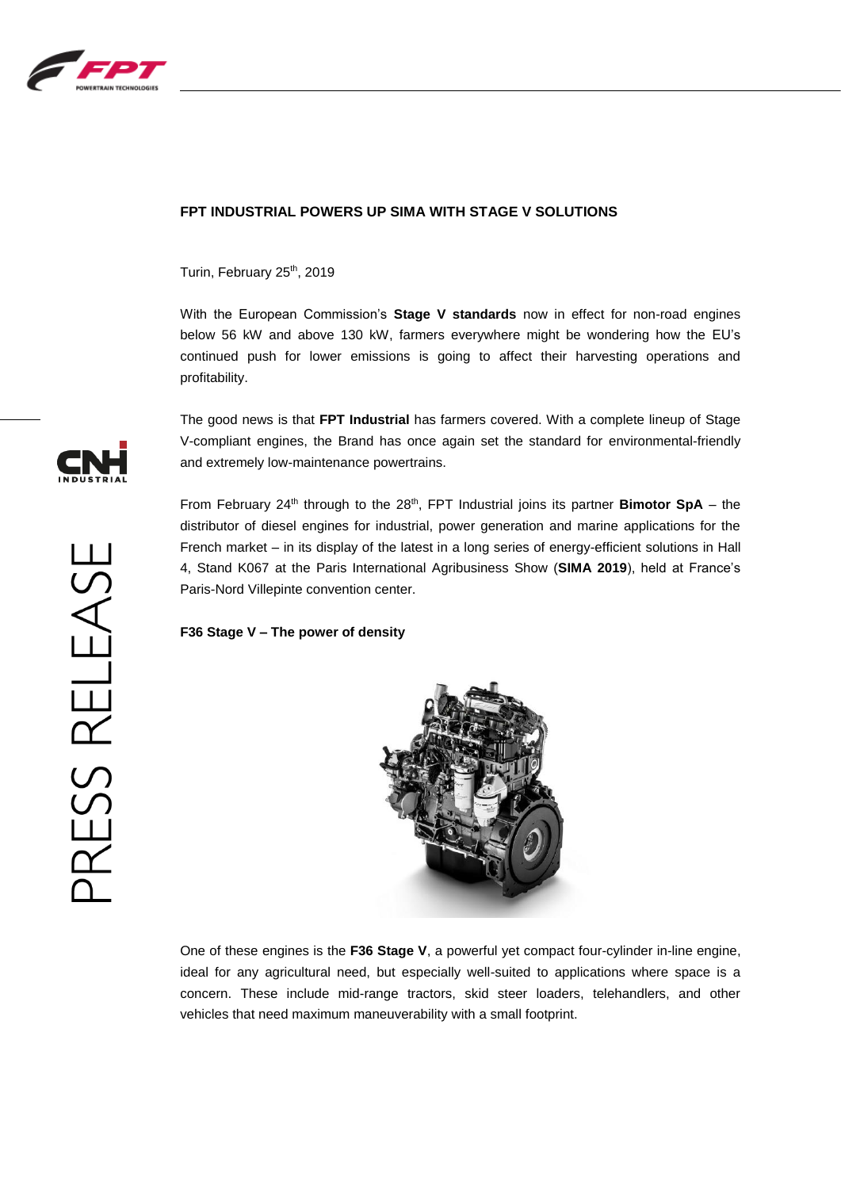

### **FPT INDUSTRIAL POWERS UP SIMA WITH STAGE V SOLUTIONS**

Turin, February 25<sup>th</sup>, 2019

With the European Commission's **Stage V standards** now in effect for non-road engines below 56 kW and above 130 kW, farmers everywhere might be wondering how the EU's continued push for lower emissions is going to affect their harvesting operations and profitability.

The good news is that **FPT Industrial** has farmers covered. With a complete lineup of Stage V-compliant engines, the Brand has once again set the standard for environmental-friendly and extremely low-maintenance powertrains.

From February 24<sup>th</sup> through to the 28<sup>th</sup>, FPT Industrial joins its partner **Bimotor SpA** – the distributor of diesel engines for industrial, power generation and marine applications for the French market – in its display of the latest in a long series of energy-efficient solutions in Hall 4, Stand K067 at the Paris International Agribusiness Show (**SIMA 2019**), held at France's Paris-Nord Villepinte convention center.

**F36 Stage V – The power of density**



One of these engines is the **F36 Stage V**, a powerful yet compact four-cylinder in-line engine, ideal for any agricultural need, but especially well-suited to applications where space is a concern. These include mid-range tractors, skid steer loaders, telehandlers, and other vehicles that need maximum maneuverability with a small footprint.

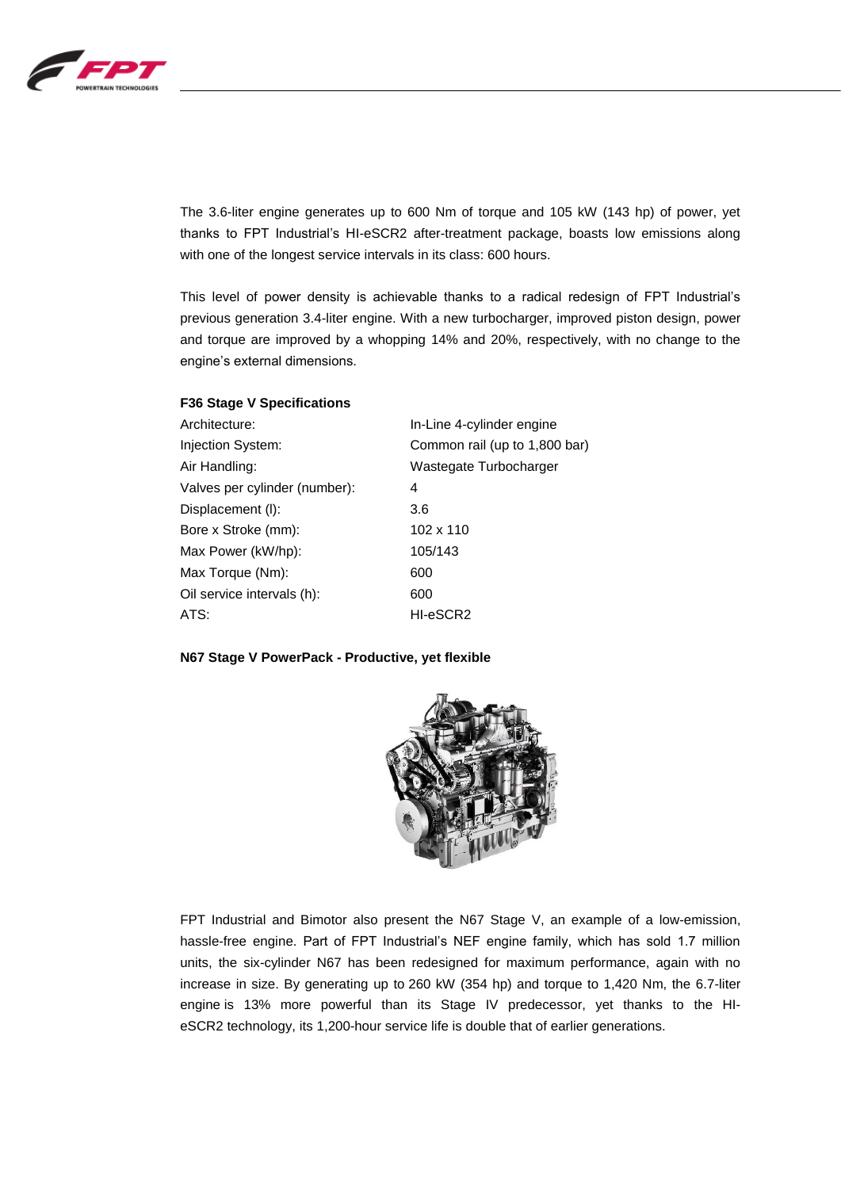

The 3.6-liter engine generates up to 600 Nm of torque and 105 kW (143 hp) of power, yet thanks to FPT Industrial's HI-eSCR2 after-treatment package, boasts low emissions along with one of the longest service intervals in its class: 600 hours.

This level of power density is achievable thanks to a radical redesign of FPT Industrial's previous generation 3.4-liter engine. With a new turbocharger, improved piston design, power and torque are improved by a whopping 14% and 20%, respectively, with no change to the engine's external dimensions.

| <b>F30 Stage V Specifications</b> |                               |
|-----------------------------------|-------------------------------|
| Architecture:                     | In-Line 4-cylinder engine     |
| Injection System:                 | Common rail (up to 1,800 bar) |
| Air Handling:                     | Wastegate Turbocharger        |
| Valves per cylinder (number):     | 4                             |
| Displacement (I):                 | 3.6                           |
| Bore x Stroke (mm):               | 102 x 110                     |
| Max Power (kW/hp):                | 105/143                       |
| Max Torque (Nm):                  | 600                           |
| Oil service intervals (h):        | 600                           |
| ATS:                              | HI-eSCR2                      |

#### **N67 Stage V PowerPack - Productive, yet flexible**

**F36 Stage V Specifications**



FPT Industrial and Bimotor also present the N67 Stage V, an example of a low-emission, hassle-free engine. Part of FPT Industrial's NEF engine family, which has sold 1.7 million units, the six-cylinder N67 has been redesigned for maximum performance, again with no increase in size. By generating up to 260 kW (354 hp) and torque to 1,420 Nm, the 6.7-liter engine is 13% more powerful than its Stage IV predecessor, yet thanks to the HIeSCR2 technology, its 1,200-hour service life is double that of earlier generations.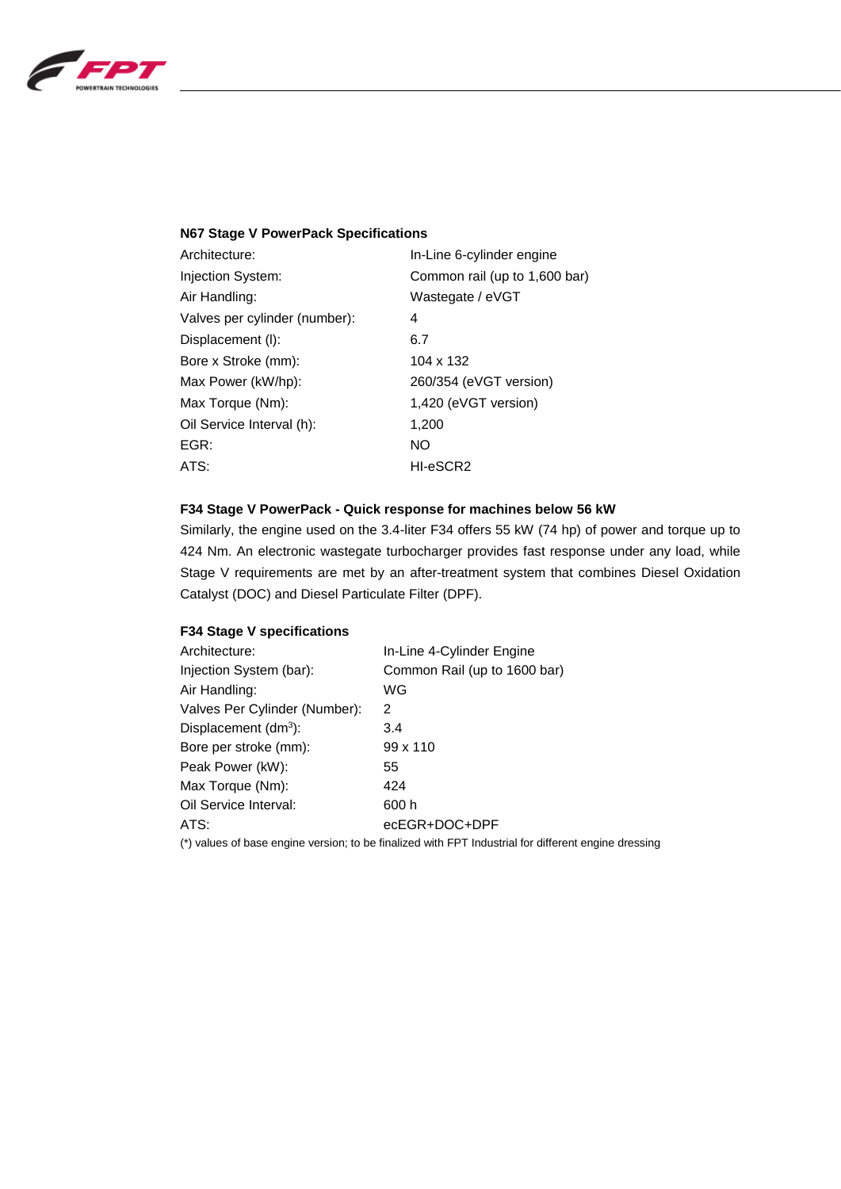

### **N67 Stage V PowerPack Specifications**

| Architecture:                 | In-Line 6-cylinder engine     |
|-------------------------------|-------------------------------|
| Injection System:             | Common rail (up to 1,600 bar) |
| Air Handling:                 | Wastegate / eVGT              |
| Valves per cylinder (number): | 4                             |
| Displacement (I):             | 6.7                           |
| Bore x Stroke (mm):           | 104 x 132                     |
| Max Power (kW/hp):            | 260/354 (eVGT version)        |
| Max Torque (Nm):              | 1,420 (eVGT version)          |
| Oil Service Interval (h):     | 1,200                         |
| EGR:                          | NO                            |
| ATS:                          | HI-eSCR2                      |

# **F34 Stage V PowerPack - Quick response for machines below 56 kW**

Similarly, the engine used on the 3.4-liter F34 offers 55 kW (74 hp) of power and torque up to 424 Nm. An electronic wastegate turbocharger provides fast response under any load, while Stage V requirements are met by an after-treatment system that combines Diesel Oxidation Catalyst (DOC) and Diesel Particulate Filter (DPF).

# **F34 Stage V specifications**

| In-Line 4-Cylinder Engine    |
|------------------------------|
| Common Rail (up to 1600 bar) |
| WG                           |
| 2                            |
| 3.4                          |
| $99 \times 110$              |
| 55                           |
| 424                          |
| 600 h                        |
| ecEGR+DOC+DPF                |
|                              |

(\*) values of base engine version; to be finalized with FPT Industrial for different engine dressing